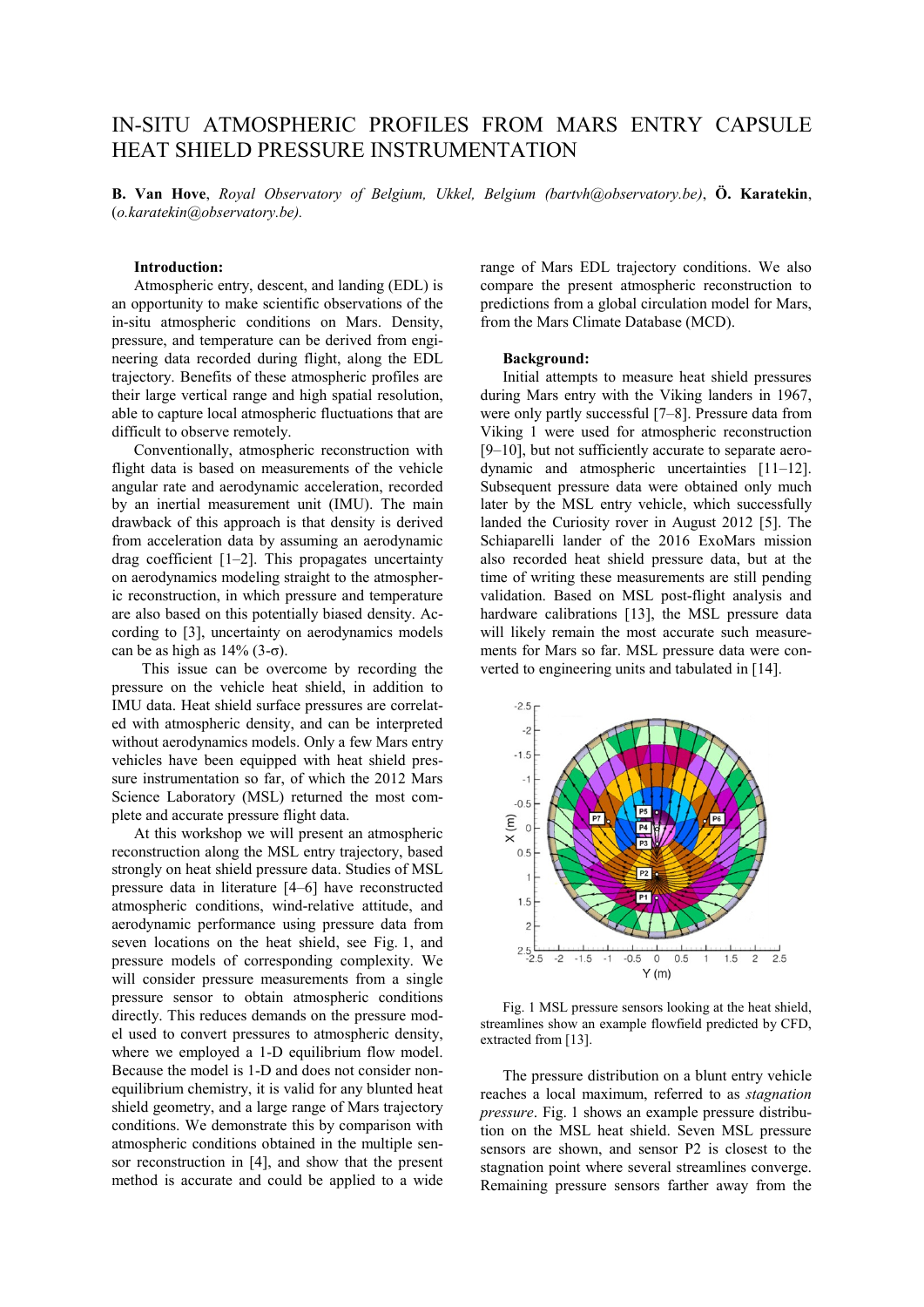# IN-SITU ATMOSPHERIC PROFILES FROM MARS ENTRY CAPSULE HEAT SHIELD PRESSURE INSTRUMENTATION

**B. Van Hove**, *Royal Observatory of Belgium, Ukkel, Belgium (bartvh@observatory.be)*, **Ö. Karatekin**, (*o.karatekin@observatory.be).*

# **Introduction:**

Atmospheric entry, descent, and landing (EDL) is an opportunity to make scientific observations of the in-situ atmospheric conditions on Mars. Density, pressure, and temperature can be derived from engineering data recorded during flight, along the EDL trajectory. Benefits of these atmospheric profiles are their large vertical range and high spatial resolution, able to capture local atmospheric fluctuations that are difficult to observe remotely.

Conventionally, atmospheric reconstruction with flight data is based on measurements of the vehicle angular rate and aerodynamic acceleration, recorded by an inertial measurement unit (IMU). The main drawback of this approach is that density is derived from acceleration data by assuming an aerodynamic drag coefficient [1–2]. This propagates uncertainty on aerodynamics modeling straight to the atmospheric reconstruction, in which pressure and temperature are also based on this potentially biased density. According to [3], uncertainty on aerodynamics models can be as high as  $14\%$  (3-σ).

This issue can be overcome by recording the pressure on the vehicle heat shield, in addition to IMU data. Heat shield surface pressures are correlated with atmospheric density, and can be interpreted without aerodynamics models. Only a few Mars entry vehicles have been equipped with heat shield pressure instrumentation so far, of which the 2012 Mars Science Laboratory (MSL) returned the most complete and accurate pressure flight data.

At this workshop we will present an atmospheric reconstruction along the MSL entry trajectory, based strongly on heat shield pressure data. Studies of MSL pressure data in literature [4–6] have reconstructed atmospheric conditions, wind-relative attitude, and aerodynamic performance using pressure data from seven locations on the heat shield, see Fig. 1, and pressure models of corresponding complexity. We will consider pressure measurements from a single pressure sensor to obtain atmospheric conditions directly. This reduces demands on the pressure model used to convert pressures to atmospheric density, where we employed a 1-D equilibrium flow model. Because the model is 1-D and does not consider nonequilibrium chemistry, it is valid for any blunted heat shield geometry, and a large range of Mars trajectory conditions. We demonstrate this by comparison with atmospheric conditions obtained in the multiple sensor reconstruction in [4], and show that the present method is accurate and could be applied to a wide

range of Mars EDL trajectory conditions. We also compare the present atmospheric reconstruction to predictions from a global circulation model for Mars, from the Mars Climate Database (MCD).

## **Background:**

Initial attempts to measure heat shield pressures during Mars entry with the Viking landers in 1967, were only partly successful [7–8]. Pressure data from Viking 1 were used for atmospheric reconstruction [9–10], but not sufficiently accurate to separate aerodynamic and atmospheric uncertainties [11–12]. Subsequent pressure data were obtained only much later by the MSL entry vehicle, which successfully landed the Curiosity rover in August 2012 [5]. The Schiaparelli lander of the 2016 ExoMars mission also recorded heat shield pressure data, but at the time of writing these measurements are still pending validation. Based on MSL post-flight analysis and hardware calibrations [13], the MSL pressure data will likely remain the most accurate such measurements for Mars so far. MSL pressure data were converted to engineering units and tabulated in [14].



Fig. 1 MSL pressure sensors looking at the heat shield, streamlines show an example flowfield predicted by CFD, extracted from [13].

The pressure distribution on a blunt entry vehicle reaches a local maximum, referred to as *stagnation pressure*. Fig. 1 shows an example pressure distribution on the MSL heat shield. Seven MSL pressure sensors are shown, and sensor P2 is closest to the stagnation point where several streamlines converge. Remaining pressure sensors farther away from the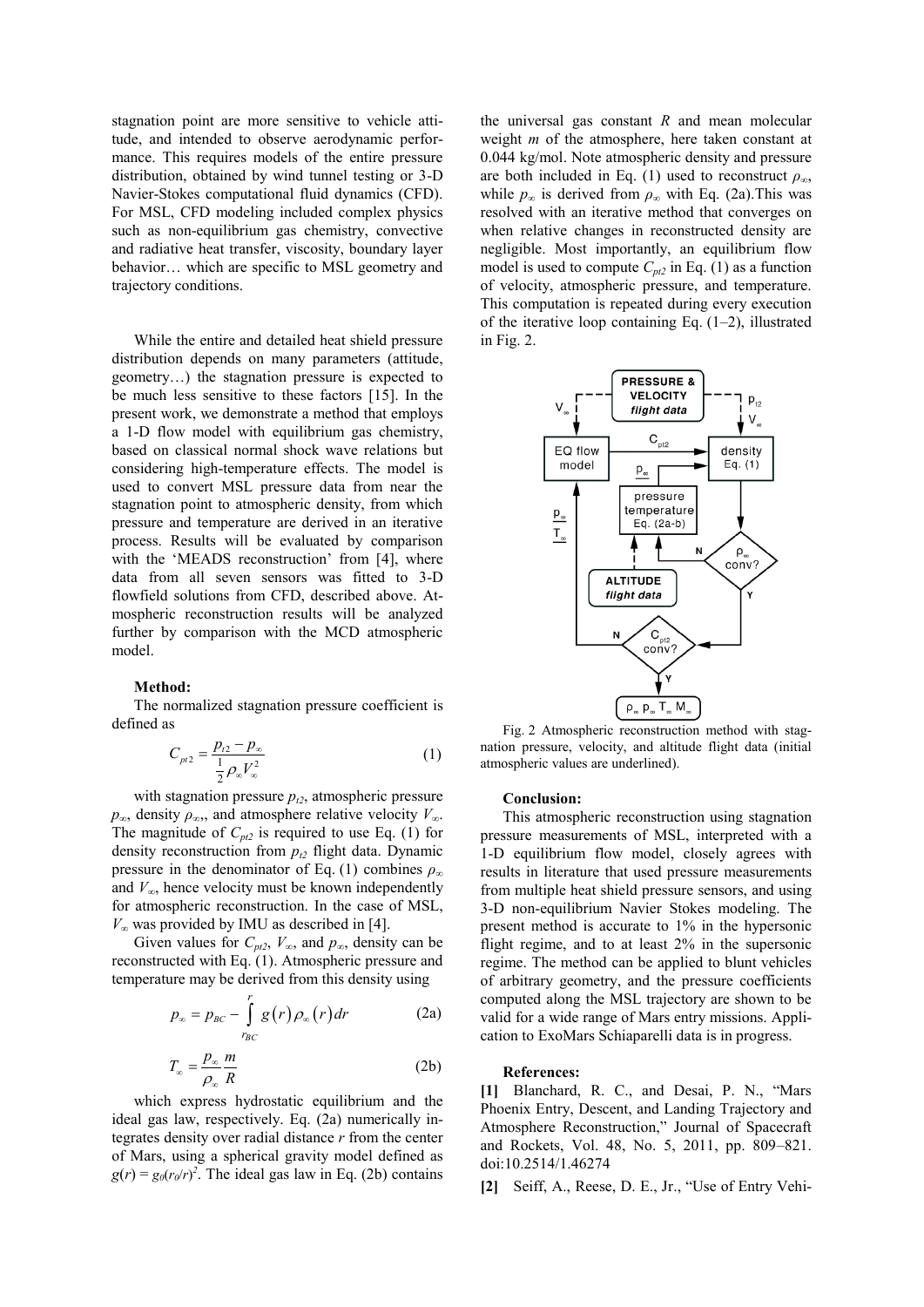stagnation point are more sensitive to vehicle attitude, and intended to observe aerodynamic performance. This requires models of the entire pressure distribution, obtained by wind tunnel testing or 3-D Navier-Stokes computational fluid dynamics (CFD). For MSL, CFD modeling included complex physics such as non-equilibrium gas chemistry, convective and radiative heat transfer, viscosity, boundary layer behavior… which are specific to MSL geometry and trajectory conditions.

While the entire and detailed heat shield pressure distribution depends on many parameters (attitude, geometry…) the stagnation pressure is expected to be much less sensitive to these factors [15]. In the present work, we demonstrate a method that employs a 1-D flow model with equilibrium gas chemistry, based on classical normal shock wave relations but considering high-temperature effects. The model is used to convert MSL pressure data from near the stagnation point to atmospheric density, from which pressure and temperature are derived in an iterative process. Results will be evaluated by comparison with the 'MEADS reconstruction' from [4], where data from all seven sensors was fitted to 3-D flowfield solutions from CFD, described above. Atmospheric reconstruction results will be analyzed further by comparison with the MCD atmospheric model.

### **Method:**

The normalized stagnation pressure coefficient is defined as

$$
C_{p12} = \frac{p_{12} - p_{\infty}}{\frac{1}{2} \rho_{\infty} V_{\infty}^2}
$$
 (1)

with stagnation pressure  $p_{t2}$ , atmospheric pressure  $p<sub>∞</sub>$ , density  $p<sub>∞</sub>$ , and atmosphere relative velocity  $V<sub>∞</sub>$ . The magnitude of  $C_{pt2}$  is required to use Eq. (1) for density reconstruction from *pt2* flight data. Dynamic pressure in the denominator of Eq. (1) combines  $\rho_{\infty}$ and  $V_{\infty}$ , hence velocity must be known independently for atmospheric reconstruction. In the case of MSL, *V<sup>∞</sup>* was provided by IMU as described in [4].

Given values for  $C_{pt2}$ ,  $V_{\infty}$ , and  $p_{\infty}$ , density can be reconstructed with Eq. (1). Atmospheric pressure and temperature may be derived from this density using

$$
p_{\infty} = p_{BC} - \int_{r_{BC}}^{r} g(r) \rho_{\infty}(r) dr \qquad (2a)
$$

$$
T_{\infty} = \frac{p_{\infty}}{\rho_{\infty}} \frac{m}{R}
$$
 (2b)

which express hydrostatic equilibrium and the ideal gas law, respectively. Eq. (2a) numerically integrates density over radial distance *r* from the center of Mars, using a spherical gravity model defined as  $g(r) = g_0(r_0/r)^2$ . The ideal gas law in Eq. (2b) contains the universal gas constant *R* and mean molecular weight *m* of the atmosphere, here taken constant at 0.044 kg/mol. Note atmospheric density and pressure are both included in Eq. (1) used to reconstruct *ρ∞*, while  $p_\infty$  is derived from  $p_\infty$  with Eq. (2a). This was resolved with an iterative method that converges on when relative changes in reconstructed density are negligible. Most importantly, an equilibrium flow model is used to compute  $C_{pt2}$  in Eq. (1) as a function of velocity, atmospheric pressure, and temperature. This computation is repeated during every execution of the iterative loop containing Eq. (1–2), illustrated in Fig. 2.



Fig. 2 Atmospheric reconstruction method with stagnation pressure, velocity, and altitude flight data (initial atmospheric values are underlined).

#### **Conclusion:**

This atmospheric reconstruction using stagnation pressure measurements of MSL, interpreted with a 1-D equilibrium flow model, closely agrees with results in literature that used pressure measurements from multiple heat shield pressure sensors, and using 3-D non-equilibrium Navier Stokes modeling. The present method is accurate to 1% in the hypersonic flight regime, and to at least 2% in the supersonic regime. The method can be applied to blunt vehicles of arbitrary geometry, and the pressure coefficients computed along the MSL trajectory are shown to be valid for a wide range of Mars entry missions. Application to ExoMars Schiaparelli data is in progress.

#### **References:**

**[1]** Blanchard, R. C., and Desai, P. N., "Mars Phoenix Entry, Descent, and Landing Trajectory and Atmosphere Reconstruction," Journal of Spacecraft and Rockets, Vol. 48, No. 5, 2011, pp. 809–821. doi:10.2514/1.46274

**[2]** Seiff, A., Reese, D. E., Jr., "Use of Entry Vehi-